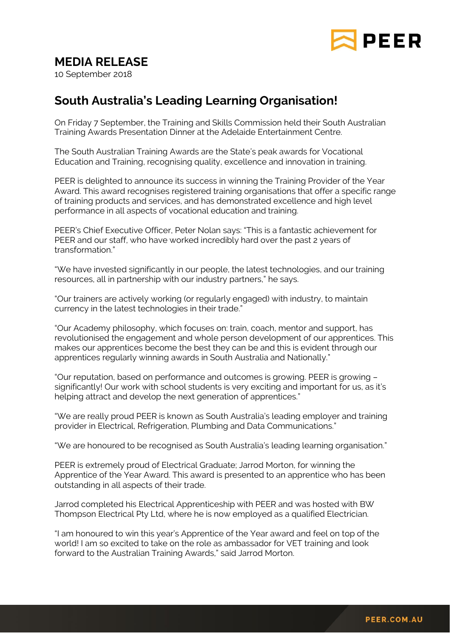

## **MEDIA RELEASE**

10 September 2018

## **South Australia's Leading Learning Organisation!**

On Friday 7 September, the Training and Skills Commission held their South Australian Training Awards Presentation Dinner at the Adelaide Entertainment Centre.

The South Australian Training Awards are the State's peak awards for Vocational Education and Training, recognising quality, excellence and innovation in training.

PEER is delighted to announce its success in winning the Training Provider of the Year Award. This award recognises registered training organisations that offer a specific range of training products and services, and has demonstrated excellence and high level performance in all aspects of vocational education and training.

PEER's Chief Executive Officer, Peter Nolan says: "This is a fantastic achievement for PEER and our staff, who have worked incredibly hard over the past 2 years of transformation."

"We have invested significantly in our people, the latest technologies, and our training resources, all in partnership with our industry partners," he says.

"Our trainers are actively working (or regularly engaged) with industry, to maintain currency in the latest technologies in their trade."

"Our Academy philosophy, which focuses on: train, coach, mentor and support, has revolutionised the engagement and whole person development of our apprentices. This makes our apprentices become the best they can be and this is evident through our apprentices regularly winning awards in South Australia and Nationally."

"Our reputation, based on performance and outcomes is growing. PEER is growing – significantly! Our work with school students is very exciting and important for us, as it's helping attract and develop the next generation of apprentices."

"We are really proud PEER is known as South Australia's leading employer and training provider in Electrical, Refrigeration, Plumbing and Data Communications."

"We are honoured to be recognised as South Australia's leading learning organisation."

PEER is extremely proud of Electrical Graduate; Jarrod Morton, for winning the Apprentice of the Year Award. This award is presented to an apprentice who has been outstanding in all aspects of their trade.

Jarrod completed his Electrical Apprenticeship with PEER and was hosted with BW Thompson Electrical Pty Ltd, where he is now employed as a qualified Electrician.

"I am honoured to win this year's Apprentice of the Year award and feel on top of the world! I am so excited to take on the role as ambassador for VET training and look forward to the Australian Training Awards," said Jarrod Morton.